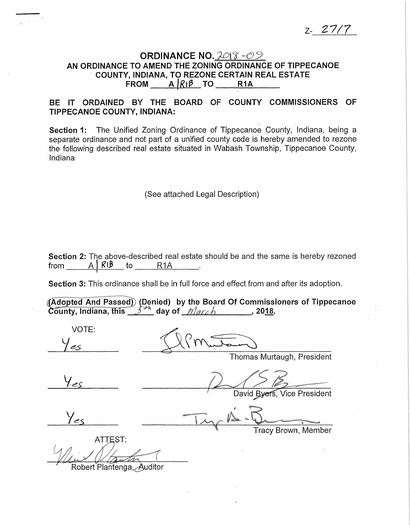Z- *27/7* 

## ORDINANCE NO. 2018-09 AN ORDINANCE TO AMEND THE ZONING ORDINANCE OF TIPPECANOE COUNTY, INDIANA, TO REZONE CERTAIN REAL ESTATE FROM  $A/R$ <sub>1</sub> $\beta$  TO R1A

## BE IT ORDAINED BY THE BOARD OF COUNTY COMMISSIONERS OF TIPPECANOE COUNTY, INDIANA:

Section 1: The Unified Zoning Ordinance of Tippecanoe County, Indiana, being a separate ordinance and not part of a unified county code is hereby amended to rezone the following described real estate situated in Wabash Township, Tippecanoe County, Indiana

(See attached Legal Description)

Section 2: The above-described real estate should be and the same is hereby rezoned from  $A \mid R \mid B$  to R1A .

Section 3: This ordinance shall be in full force and effect from and after its adoption.

(Adopted And Passed) (Denied) by the Board Of Commissioners of Tippecanoe County, Indiana, this  $54\frac{M}{2}$  day of  $March$ , 2018.

VOTE:  $l$  es Thomas Murtaugh, President David Byers, Vice President Tracy Brown, Member ATTEST: Robert Plantenga, Auditor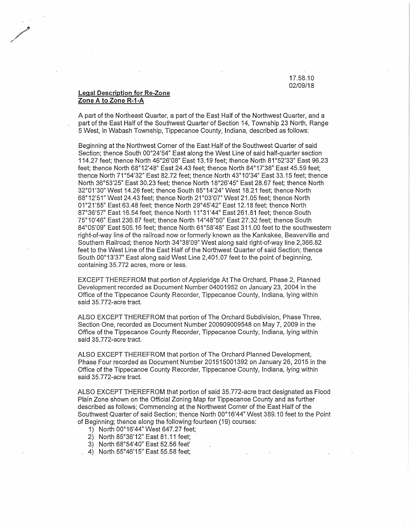17.58.10 02/09/18

## **Legal Description for Re-Zone Zone A to Zone R-1-A**

/ *r* 

> A part of the Northeast Quarter, a part of the East Half of the Northwest Quarter, and a part of the East Half of the Southwest Quarter of Section 14, Township 23 North, Range 5 West, in Wabash Township, Tippecanoe County, Indiana, described as follows:

> Beginning at the.Northwest Corner of the East Half of the Southwest Quarter of said Section; thence South 00°24'54" East along the West Line of said half-quarter section 114.27 feet; thence North 46°26'08" East 13.19 feet; thence North 81°52'33" East 96.23 feet; thence North 68°12'48" East 24.43 feet; thence North 84°17'38" East 45.59 feet; thence North 71°54'32" East 82.72 feet; thence North 43°10'34" East 33.15 feet; thence North 36°53'25" East 30.23 feet; thence North 18°26'45" East 28.67 feet; thence North 32°01'30" West 14.26 feet; thence South 85°14'24" West 18.21 feet; thence North 68°12'51" West 24.43 feet; thence North 21°03'07" West 21.05 feet; thence North 01°21'55" East 63.48 feet; thence North 29°45'42" East 12.18 feet; thence North 87°36'57" East 16.54 feet; thence North 11°31'44" East 261.81 feet; thence South 75°10'46" East 236.87 feet; thence North 14°48"50" East 27.32 feet; thence South 84°05'09" East 505.16 feet; thence North 61°58'48" East 311.00 feet to the southwestern right-of-way line of the railroad now or formerly known as the Kankakee, Beaverville and Southern Railroad; thence North 34°38'09" West along said righf-of-way line 2,366.82 feet to the West Line of the East Half of the Northwest Quarter of said Section; thence South 00°13'37" East along said West Line 2,401.07 feet to the point of beginning, containing 35. 772 acres, more or less.

EXCEPT THEREFROM that portion of Appleridge At The Orchard, Phase 2, Planned Development recorded as Document Number 04001952 on January 23, 2004 in the Office of the Tippecanoe County Recorder, Tippecanoe County, Indiana, lying within said 35.772-acre tract.

ALSO EXCEPT THEREFROM that portion of The Orchard Subdivision, Phase Three, Section One, recorded as Document Number 200909009548 on May 7, 2009 in the Office of the Tippecanoe County Recorder, Tippecanoe County, Indiana, lying within said 35. 772-acre tract.

ALSO EXCEPT THEREFROM that portion of The Orchard Planned Development, Phase Four recorded as Document Number 201515001392 on January 26, 2015 in the Office of the Tippecanoe County Recorder, Tippecanoe County, Indiana, lying within said 35.772-acre tract.

ALSO EXCEPT THEREFROM that portion of said 35.772-acre tract designated as Flood Plain Zone shown on the Official Zoning Map for Tippecanoe County and as further described as follows; Commencing at the Northwest Corner of the East Half of the Southwest Quarter of said Section; thence North 00°16'44" West 389.10 feet to the Point of Beginning; thence along the following fourteen (19) courses:

- 1) North 00°16'44" West 647.27 feet;
- 2) North 85°36'12" East 81.11 feet;
- 3) North 68°54'40" East 52.56 feet'
- 4) North 55°46'15" East 55.58 feet;